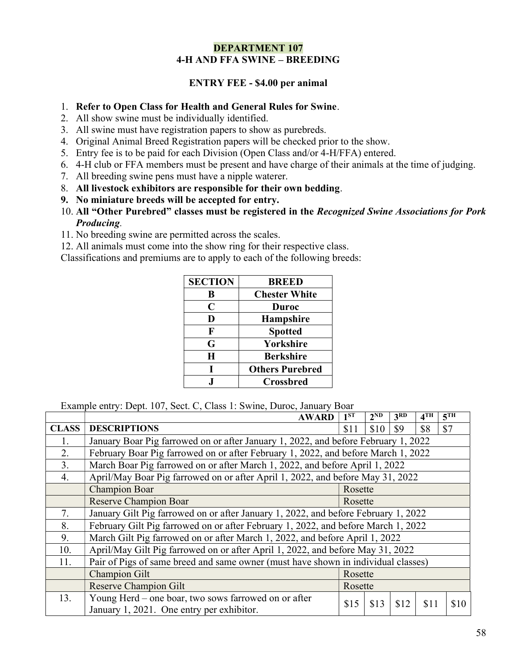### DEPARTMENT 107 4-H AND FFA SWINE – BREEDING

## ENTRY FEE - \$4.00 per animal

### 1. Refer to Open Class for Health and General Rules for Swine.

- 2. All show swine must be individually identified.
- 3. All swine must have registration papers to show as purebreds.
- 4. Original Animal Breed Registration papers will be checked prior to the show.
- 5. Entry fee is to be paid for each Division (Open Class and/or 4-H/FFA) entered.
- 6. 4-H club or FFA members must be present and have charge of their animals at the time of judging.
- 7. All breeding swine pens must have a nipple waterer.
- 8. All livestock exhibitors are responsible for their own bedding.
- 9. No miniature breeds will be accepted for entry.
- 10. All "Other Purebred" classes must be registered in the Recognized Swine Associations for Pork Producing.
- 11. No breeding swine are permitted across the scales.
- 12. All animals must come into the show ring for their respective class.

Classifications and premiums are to apply to each of the following breeds:

| <b>SECTION</b> | <b>BREED</b>           |
|----------------|------------------------|
| B              | <b>Chester White</b>   |
| C              | Duroc                  |
| D              | <b>Hampshire</b>       |
| F              | <b>Spotted</b>         |
| G              | Yorkshire              |
| H              | <b>Berkshire</b>       |
| L              | <b>Others Purebred</b> |
|                | <b>Crossbred</b>       |

Example entry: Dept. 107, Sect. C, Class 1: Swine, Duroc, January Boar

|              | <b>AWARD</b>                                                                                      | 1 <sup>ST</sup> | $2^{ND}$ | 3 <sup>RD</sup> | $4^{\overline{\text{TH}}}$ | 5 <sup>TH</sup> |  |  |  |  |
|--------------|---------------------------------------------------------------------------------------------------|-----------------|----------|-----------------|----------------------------|-----------------|--|--|--|--|
| <b>CLASS</b> | <b>DESCRIPTIONS</b>                                                                               | \$11            | \$10     | \$9             | \$8                        | \$7             |  |  |  |  |
| 1.           | January Boar Pig farrowed on or after January 1, 2022, and before February 1, 2022                |                 |          |                 |                            |                 |  |  |  |  |
| 2.           | February Boar Pig farrowed on or after February 1, 2022, and before March 1, 2022                 |                 |          |                 |                            |                 |  |  |  |  |
| 3.           | March Boar Pig farrowed on or after March 1, 2022, and before April 1, 2022                       |                 |          |                 |                            |                 |  |  |  |  |
| 4.           | April/May Boar Pig farrowed on or after April 1, 2022, and before May 31, 2022                    |                 |          |                 |                            |                 |  |  |  |  |
|              | <b>Champion Boar</b>                                                                              | Rosette         |          |                 |                            |                 |  |  |  |  |
|              | <b>Reserve Champion Boar</b>                                                                      | Rosette         |          |                 |                            |                 |  |  |  |  |
| 7.           | January Gilt Pig farrowed on or after January 1, 2022, and before February 1, 2022                |                 |          |                 |                            |                 |  |  |  |  |
| 8.           | February Gilt Pig farrowed on or after February 1, 2022, and before March 1, 2022                 |                 |          |                 |                            |                 |  |  |  |  |
| 9.           | March Gilt Pig farrowed on or after March 1, 2022, and before April 1, 2022                       |                 |          |                 |                            |                 |  |  |  |  |
| 10.          | April/May Gilt Pig farrowed on or after April 1, 2022, and before May 31, 2022                    |                 |          |                 |                            |                 |  |  |  |  |
| 11.          | Pair of Pigs of same breed and same owner (must have shown in individual classes)                 |                 |          |                 |                            |                 |  |  |  |  |
|              | <b>Champion Gilt</b>                                                                              | Rosette         |          |                 |                            |                 |  |  |  |  |
|              | <b>Reserve Champion Gilt</b>                                                                      | Rosette         |          |                 |                            |                 |  |  |  |  |
| 13.          | Young Herd – one boar, two sows farrowed on or after<br>January 1, 2021. One entry per exhibitor. | \$15            | \$13     | \$12            | \$11                       | \$10            |  |  |  |  |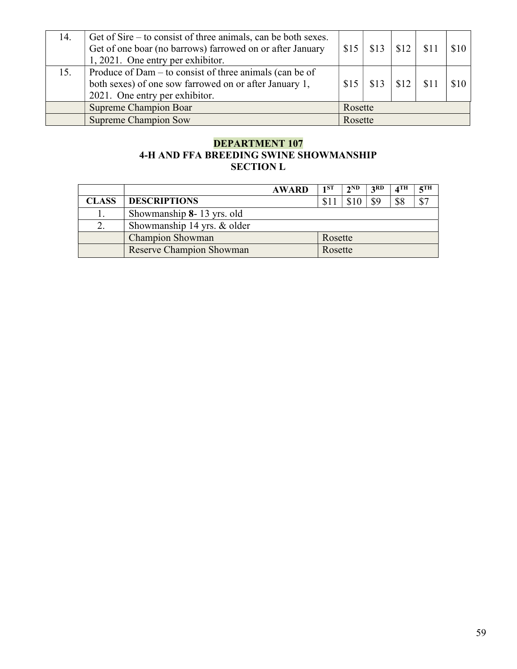| 14. | Get of Sire – to consist of three animals, can be both sexes.<br>Get of one boar (no barrows) farrowed on or after January<br>1, 2021. One entry per exhibitor. | \$15    | $$13 \mid $12 \mid$ |      |  | \$10 |
|-----|-----------------------------------------------------------------------------------------------------------------------------------------------------------------|---------|---------------------|------|--|------|
| 15. | Produce of Dam – to consist of three animals (can be of<br>both sexes) of one sow farrowed on or after January 1,<br>2021. One entry per exhibitor.             | \$15    | \$13                | \$12 |  | \$10 |
|     | <b>Supreme Champion Boar</b>                                                                                                                                    | Rosette |                     |      |  |      |
|     | <b>Supreme Champion Sow</b>                                                                                                                                     | Rosette |                     |      |  |      |

# DEPARTMENT 107 4-H AND FFA BREEDING SWINE SHOWMANSHIP SECTION L

|              | <b>AWARD</b>                    | 1 <sub>1</sub> ST | $2^{\rm ND}$ | 2RD | $\boldsymbol{A}$ TH | $\epsilon$ TH |
|--------------|---------------------------------|-------------------|--------------|-----|---------------------|---------------|
| <b>CLASS</b> | <b>DESCRIPTIONS</b>             |                   |              | \$9 | \$8                 |               |
|              | Showmanship 8-13 yrs. old       |                   |              |     |                     |               |
|              | Showmanship 14 yrs. & older     |                   |              |     |                     |               |
|              | <b>Champion Showman</b>         | Rosette           |              |     |                     |               |
|              | <b>Reserve Champion Showman</b> | Rosette           |              |     |                     |               |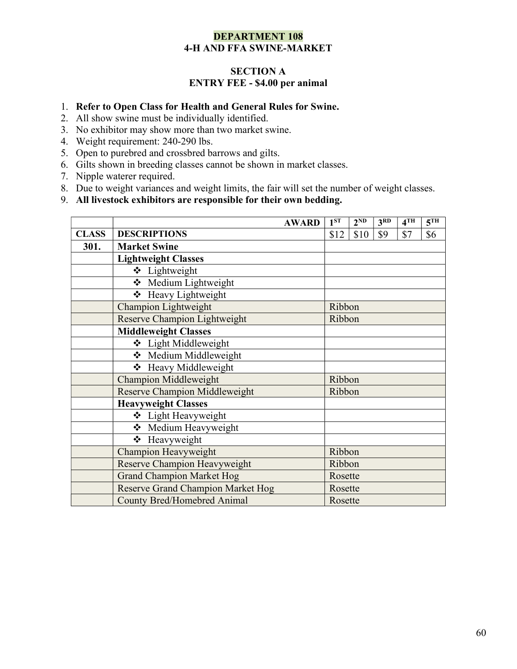### DEPARTMENT 108 4-H AND FFA SWINE-MARKET

## SECTION A ENTRY FEE - \$4.00 per animal

#### 1. Refer to Open Class for Health and General Rules for Swine.

- 2. All show swine must be individually identified.
- 3. No exhibitor may show more than two market swine.
- 4. Weight requirement: 240-290 lbs.
- 5. Open to purebred and crossbred barrows and gilts.
- 6. Gilts shown in breeding classes cannot be shown in market classes.
- 7. Nipple waterer required.
- 8. Due to weight variances and weight limits, the fair will set the number of weight classes.
- 9. All livestock exhibitors are responsible for their own bedding.

|              |                                          | <b>AWARD</b> | 1 <sup>ST</sup> | 2 <sub>ND</sub> | 3 <sup>RD</sup> | 4 <sup>TH</sup> | 5 <sup>TH</sup> |
|--------------|------------------------------------------|--------------|-----------------|-----------------|-----------------|-----------------|-----------------|
| <b>CLASS</b> | <b>DESCRIPTIONS</b>                      |              | \$12            | \$10            | \$9             | \$7             | \$6             |
| 301.         | <b>Market Swine</b>                      |              |                 |                 |                 |                 |                 |
|              | <b>Lightweight Classes</b>               |              |                 |                 |                 |                 |                 |
|              | ❖ Lightweight                            |              |                 |                 |                 |                 |                 |
|              | ❖ Medium Lightweight                     |              |                 |                 |                 |                 |                 |
|              | ❖ Heavy Lightweight                      |              |                 |                 |                 |                 |                 |
|              | <b>Champion Lightweight</b>              |              | Ribbon          |                 |                 |                 |                 |
|              | Reserve Champion Lightweight             |              | Ribbon          |                 |                 |                 |                 |
|              | <b>Middleweight Classes</b>              |              |                 |                 |                 |                 |                 |
|              | ❖ Light Middleweight                     |              |                 |                 |                 |                 |                 |
|              | ❖ Medium Middleweight                    |              |                 |                 |                 |                 |                 |
|              | ❖ Heavy Middleweight                     |              |                 |                 |                 |                 |                 |
|              | <b>Champion Middleweight</b>             |              | Ribbon          |                 |                 |                 |                 |
|              | Reserve Champion Middleweight            |              | Ribbon          |                 |                 |                 |                 |
|              | <b>Heavyweight Classes</b>               |              |                 |                 |                 |                 |                 |
|              | ❖ Light Heavyweight                      |              |                 |                 |                 |                 |                 |
|              | ❖ Medium Heavyweight                     |              |                 |                 |                 |                 |                 |
|              | ❖ Heavyweight                            |              |                 |                 |                 |                 |                 |
|              | Champion Heavyweight                     |              | Ribbon          |                 |                 |                 |                 |
|              | Reserve Champion Heavyweight             |              | Ribbon          |                 |                 |                 |                 |
|              | <b>Grand Champion Market Hog</b>         |              | Rosette         |                 |                 |                 |                 |
|              | <b>Reserve Grand Champion Market Hog</b> |              | Rosette         |                 |                 |                 |                 |
|              | <b>County Bred/Homebred Animal</b>       |              | Rosette         |                 |                 |                 |                 |